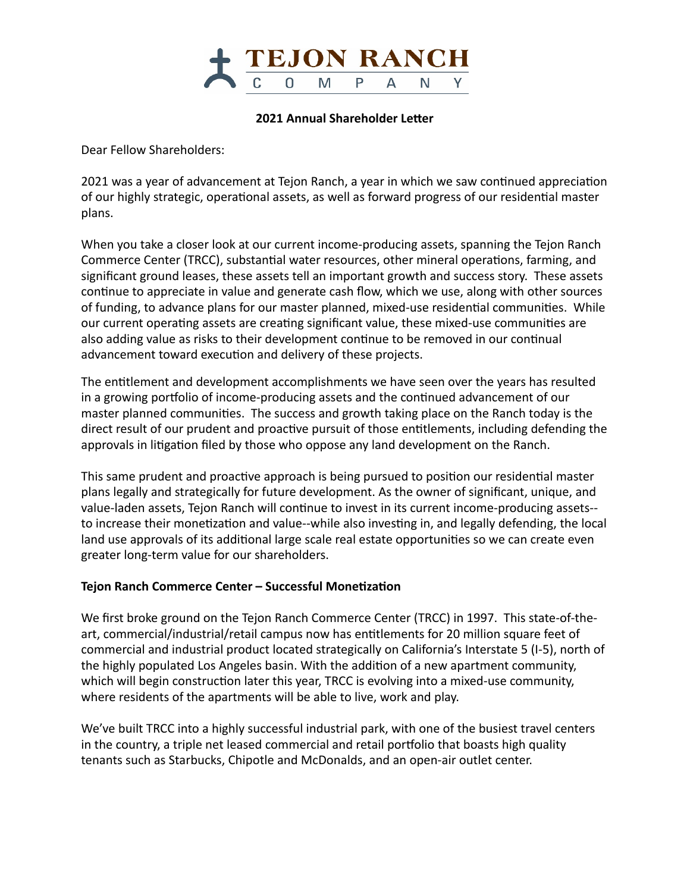

#### **2021 Annual Shareholder Letter**

Dear Fellow Shareholders: 

2021 was a year of advancement at Tejon Ranch, a year in which we saw continued appreciation of our highly strategic, operational assets, as well as forward progress of our residential master plans. 

When you take a closer look at our current income-producing assets, spanning the Tejon Ranch Commerce Center (TRCC), substantial water resources, other mineral operations, farming, and significant ground leases, these assets tell an important growth and success story. These assets continue to appreciate in value and generate cash flow, which we use, along with other sources of funding, to advance plans for our master planned, mixed-use residential communities. While our current operating assets are creating significant value, these mixed-use communities are also adding value as risks to their development continue to be removed in our continual advancement toward execution and delivery of these projects.

The entitlement and development accomplishments we have seen over the years has resulted in a growing portfolio of income-producing assets and the continued advancement of our master planned communities. The success and growth taking place on the Ranch today is the direct result of our prudent and proactive pursuit of those entitlements, including defending the approvals in litigation filed by those who oppose any land development on the Ranch.

This same prudent and proactive approach is being pursued to position our residential master plans legally and strategically for future development. As the owner of significant, unique, and value-laden assets, Tejon Ranch will continue to invest in its current income-producing assets-to increase their monetization and value--while also investing in, and legally defending, the local land use approvals of its additional large scale real estate opportunities so we can create even greater long-term value for our shareholders.

#### **Tejon Ranch Commerce Center – Successful Monetization**

We first broke ground on the Tejon Ranch Commerce Center (TRCC) in 1997. This state-of-theart, commercial/industrial/retail campus now has entitlements for 20 million square feet of commercial and industrial product located strategically on California's Interstate 5 (I-5), north of the highly populated Los Angeles basin. With the addition of a new apartment community, which will begin construction later this year, TRCC is evolving into a mixed-use community, where residents of the apartments will be able to live, work and play.

We've built TRCC into a highly successful industrial park, with one of the busiest travel centers in the country, a triple net leased commercial and retail portfolio that boasts high quality tenants such as Starbucks, Chipotle and McDonalds, and an open-air outlet center.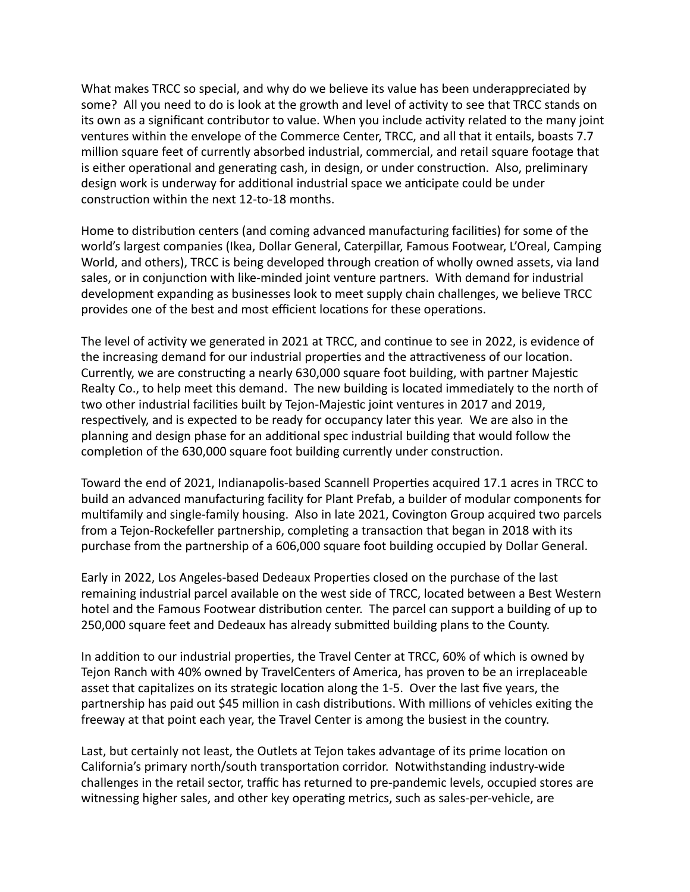What makes TRCC so special, and why do we believe its value has been underappreciated by some? All you need to do is look at the growth and level of activity to see that TRCC stands on its own as a significant contributor to value. When you include activity related to the many joint ventures within the envelope of the Commerce Center, TRCC, and all that it entails, boasts 7.7 million square feet of currently absorbed industrial, commercial, and retail square footage that is either operational and generating cash, in design, or under construction. Also, preliminary design work is underway for additional industrial space we anticipate could be under construction within the next 12-to-18 months.

Home to distribution centers (and coming advanced manufacturing facilities) for some of the world's largest companies (Ikea, Dollar General, Caterpillar, Famous Footwear, L'Oreal, Camping World, and others), TRCC is being developed through creation of wholly owned assets, via land sales, or in conjunction with like-minded joint venture partners. With demand for industrial development expanding as businesses look to meet supply chain challenges, we believe TRCC provides one of the best and most efficient locations for these operations.

The level of activity we generated in 2021 at TRCC, and continue to see in 2022, is evidence of the increasing demand for our industrial properties and the attractiveness of our location. Currently, we are constructing a nearly 630,000 square foot building, with partner Majestic Realty Co., to help meet this demand. The new building is located immediately to the north of two other industrial facilities built by Tejon-Majestic joint ventures in 2017 and 2019, respectively, and is expected to be ready for occupancy later this year. We are also in the planning and design phase for an additional spec industrial building that would follow the completion of the 630,000 square foot building currently under construction.

Toward the end of 2021, Indianapolis-based Scannell Properties acquired 17.1 acres in TRCC to build an advanced manufacturing facility for Plant Prefab, a builder of modular components for multifamily and single-family housing. Also in late 2021, Covington Group acquired two parcels from a Tejon-Rockefeller partnership, completing a transaction that began in 2018 with its purchase from the partnership of a 606,000 square foot building occupied by Dollar General.

Early in 2022, Los Angeles-based Dedeaux Properties closed on the purchase of the last remaining industrial parcel available on the west side of TRCC, located between a Best Western hotel and the Famous Footwear distribution center. The parcel can support a building of up to 250,000 square feet and Dedeaux has already submitted building plans to the County.

In addition to our industrial properties, the Travel Center at TRCC, 60% of which is owned by Tejon Ranch with 40% owned by TravelCenters of America, has proven to be an irreplaceable asset that capitalizes on its strategic location along the 1-5. Over the last five years, the partnership has paid out \$45 million in cash distributions. With millions of vehicles exiting the freeway at that point each year, the Travel Center is among the busiest in the country.

Last, but certainly not least, the Outlets at Tejon takes advantage of its prime location on California's primary north/south transportation corridor. Notwithstanding industry-wide challenges in the retail sector, traffic has returned to pre-pandemic levels, occupied stores are witnessing higher sales, and other key operating metrics, such as sales-per-vehicle, are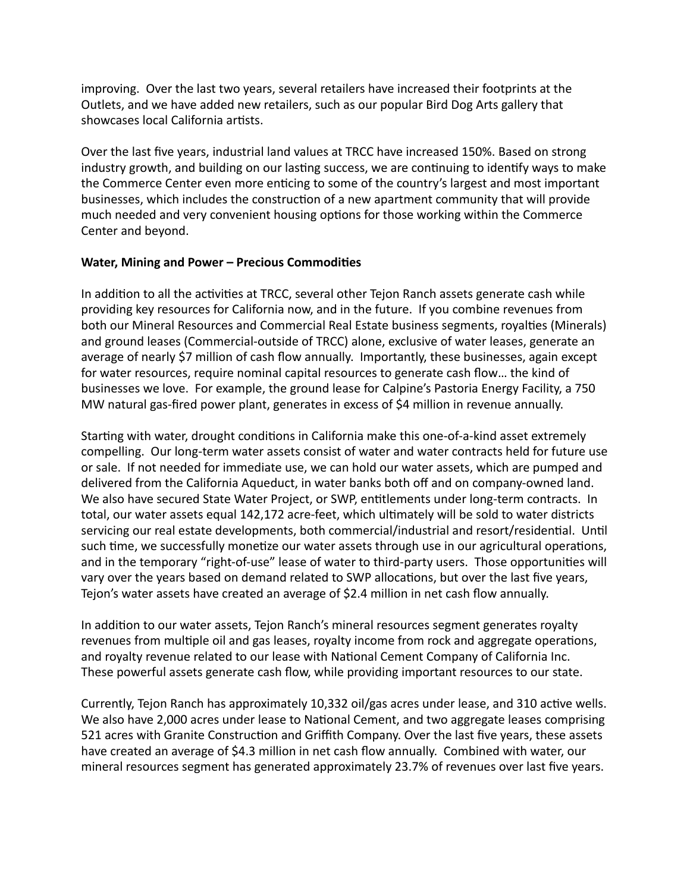improving. Over the last two years, several retailers have increased their footprints at the Outlets, and we have added new retailers, such as our popular Bird Dog Arts gallery that showcases local California artists.

Over the last five years, industrial land values at TRCC have increased 150%. Based on strong industry growth, and building on our lasting success, we are continuing to identify ways to make the Commerce Center even more enticing to some of the country's largest and most important businesses, which includes the construction of a new apartment community that will provide much needed and very convenient housing options for those working within the Commerce Center and beyond.

## **Water, Mining and Power - Precious Commodities**

In addition to all the activities at TRCC, several other Tejon Ranch assets generate cash while providing key resources for California now, and in the future. If you combine revenues from both our Mineral Resources and Commercial Real Estate business segments, royalties (Minerals) and ground leases (Commercial-outside of TRCC) alone, exclusive of water leases, generate an average of nearly \$7 million of cash flow annually. Importantly, these businesses, again except for water resources, require nominal capital resources to generate cash flow... the kind of businesses we love. For example, the ground lease for Calpine's Pastoria Energy Facility, a 750 MW natural gas-fired power plant, generates in excess of \$4 million in revenue annually.

Starting with water, drought conditions in California make this one-of-a-kind asset extremely compelling. Our long-term water assets consist of water and water contracts held for future use or sale. If not needed for immediate use, we can hold our water assets, which are pumped and delivered from the California Aqueduct, in water banks both off and on company-owned land. We also have secured State Water Project, or SWP, entitlements under long-term contracts. In total, our water assets equal 142,172 acre-feet, which ultimately will be sold to water districts servicing our real estate developments, both commercial/industrial and resort/residential. Until such time, we successfully monetize our water assets through use in our agricultural operations, and in the temporary "right-of-use" lease of water to third-party users. Those opportunities will vary over the years based on demand related to SWP allocations, but over the last five years, Tejon's water assets have created an average of \$2.4 million in net cash flow annually.

In addition to our water assets, Tejon Ranch's mineral resources segment generates royalty revenues from multiple oil and gas leases, royalty income from rock and aggregate operations, and royalty revenue related to our lease with National Cement Company of California Inc. These powerful assets generate cash flow, while providing important resources to our state.

Currently, Tejon Ranch has approximately 10,332 oil/gas acres under lease, and 310 active wells. We also have 2,000 acres under lease to National Cement, and two aggregate leases comprising 521 acres with Granite Construction and Griffith Company. Over the last five years, these assets have created an average of \$4.3 million in net cash flow annually. Combined with water, our mineral resources segment has generated approximately 23.7% of revenues over last five years.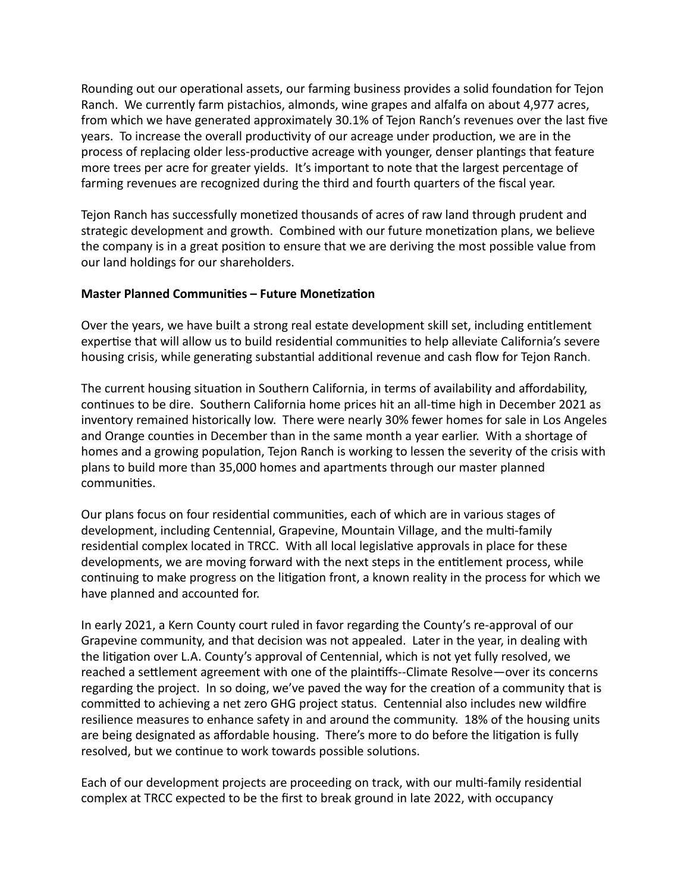Rounding out our operational assets, our farming business provides a solid foundation for Tejon Ranch. We currently farm pistachios, almonds, wine grapes and alfalfa on about 4,977 acres, from which we have generated approximately 30.1% of Tejon Ranch's revenues over the last five years. To increase the overall productivity of our acreage under production, we are in the process of replacing older less-productive acreage with younger, denser plantings that feature more trees per acre for greater yields. It's important to note that the largest percentage of farming revenues are recognized during the third and fourth quarters of the fiscal year.

Tejon Ranch has successfully monetized thousands of acres of raw land through prudent and strategic development and growth. Combined with our future monetization plans, we believe the company is in a great position to ensure that we are deriving the most possible value from our land holdings for our shareholders.

## **Master Planned Communities - Future Monetization**

Over the years, we have built a strong real estate development skill set, including entitlement expertise that will allow us to build residential communities to help alleviate California's severe housing crisis, while generating substantial additional revenue and cash flow for Tejon Ranch.

The current housing situation in Southern California, in terms of availability and affordability, continues to be dire. Southern California home prices hit an all-time high in December 2021 as inventory remained historically low. There were nearly 30% fewer homes for sale in Los Angeles and Orange counties in December than in the same month a year earlier. With a shortage of homes and a growing population, Tejon Ranch is working to lessen the severity of the crisis with plans to build more than 35,000 homes and apartments through our master planned communities.

Our plans focus on four residential communities, each of which are in various stages of development, including Centennial, Grapevine, Mountain Village, and the multi-family residential complex located in TRCC. With all local legislative approvals in place for these developments, we are moving forward with the next steps in the entitlement process, while continuing to make progress on the litigation front, a known reality in the process for which we have planned and accounted for.

In early 2021, a Kern County court ruled in favor regarding the County's re-approval of our Grapevine community, and that decision was not appealed. Later in the year, in dealing with the litigation over L.A. County's approval of Centennial, which is not yet fully resolved, we reached a settlement agreement with one of the plaintiffs--Climate Resolve—over its concerns regarding the project. In so doing, we've paved the way for the creation of a community that is committed to achieving a net zero GHG project status. Centennial also includes new wildfire resilience measures to enhance safety in and around the community. 18% of the housing units are being designated as affordable housing. There's more to do before the litigation is fully resolved, but we continue to work towards possible solutions.

Each of our development projects are proceeding on track, with our multi-family residential complex at TRCC expected to be the first to break ground in late 2022, with occupancy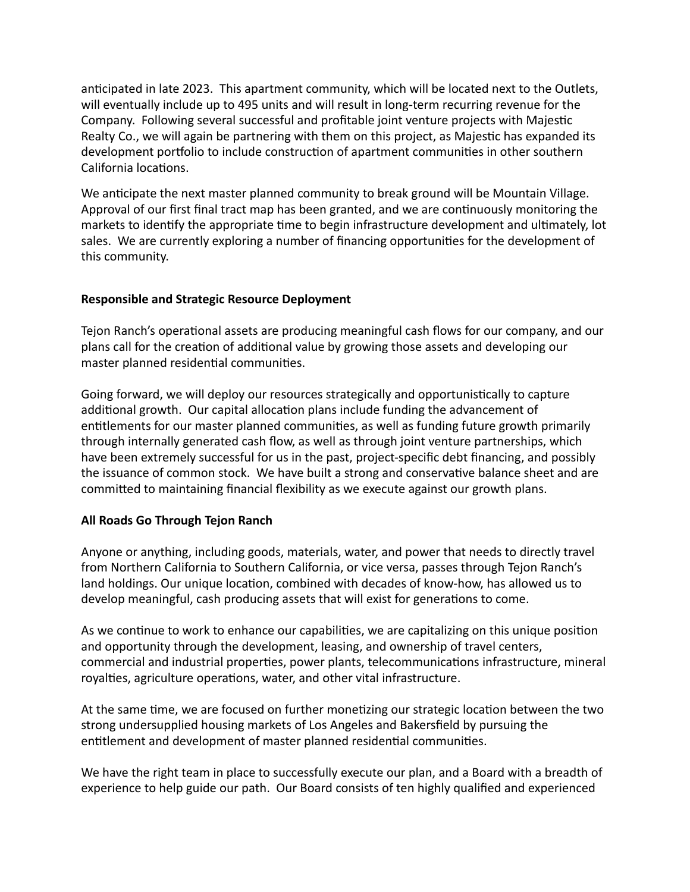anticipated in late 2023. This apartment community, which will be located next to the Outlets, will eventually include up to 495 units and will result in long-term recurring revenue for the Company. Following several successful and profitable joint venture projects with Majestic Realty Co., we will again be partnering with them on this project, as Majestic has expanded its development portfolio to include construction of apartment communities in other southern California locations.

We anticipate the next master planned community to break ground will be Mountain Village. Approval of our first final tract map has been granted, and we are continuously monitoring the markets to identify the appropriate time to begin infrastructure development and ultimately, lot sales. We are currently exploring a number of financing opportunities for the development of this community.

## **Responsible and Strategic Resource Deployment**

Tejon Ranch's operational assets are producing meaningful cash flows for our company, and our plans call for the creation of additional value by growing those assets and developing our master planned residential communities.

Going forward, we will deploy our resources strategically and opportunistically to capture additional growth. Our capital allocation plans include funding the advancement of entitlements for our master planned communities, as well as funding future growth primarily through internally generated cash flow, as well as through joint venture partnerships, which have been extremely successful for us in the past, project-specific debt financing, and possibly the issuance of common stock. We have built a strong and conservative balance sheet and are committed to maintaining financial flexibility as we execute against our growth plans.

# **All Roads Go Through Tejon Ranch**

Anyone or anything, including goods, materials, water, and power that needs to directly travel from Northern California to Southern California, or vice versa, passes through Tejon Ranch's land holdings. Our unique location, combined with decades of know-how, has allowed us to develop meaningful, cash producing assets that will exist for generations to come.

As we continue to work to enhance our capabilities, we are capitalizing on this unique position and opportunity through the development, leasing, and ownership of travel centers, commercial and industrial properties, power plants, telecommunications infrastructure, mineral royalties, agriculture operations, water, and other vital infrastructure.

At the same time, we are focused on further monetizing our strategic location between the two strong undersupplied housing markets of Los Angeles and Bakersfield by pursuing the entitlement and development of master planned residential communities.

We have the right team in place to successfully execute our plan, and a Board with a breadth of experience to help guide our path. Our Board consists of ten highly qualified and experienced